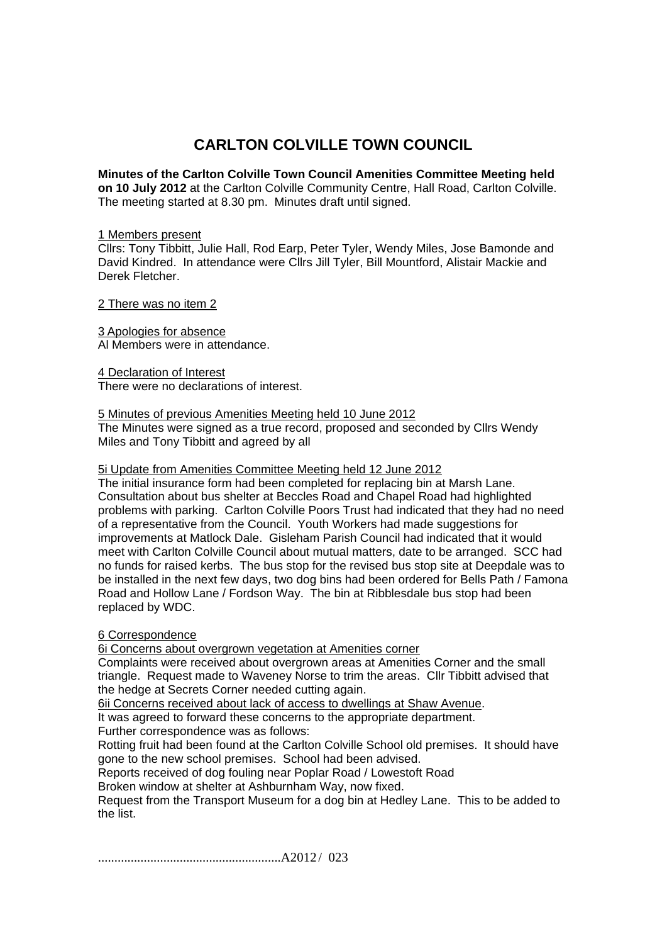# **CARLTON COLVILLE TOWN COUNCIL**

**Minutes of the Carlton Colville Town Council Amenities Committee Meeting held on 10 July 2012** at the Carlton Colville Community Centre, Hall Road, Carlton Colville. The meeting started at 8.30 pm. Minutes draft until signed.

#### 1 Members present

Cllrs: Tony Tibbitt, Julie Hall, Rod Earp, Peter Tyler, Wendy Miles, Jose Bamonde and David Kindred. In attendance were Cllrs Jill Tyler, Bill Mountford, Alistair Mackie and Derek Fletcher.

2 There was no item 2

3 Apologies for absence Al Members were in attendance.

4 Declaration of Interest There were no declarations of interest.

### 5 Minutes of previous Amenities Meeting held 10 June 2012

The Minutes were signed as a true record, proposed and seconded by Cllrs Wendy Miles and Tony Tibbitt and agreed by all

### 5i Update from Amenities Committee Meeting held 12 June 2012

The initial insurance form had been completed for replacing bin at Marsh Lane. Consultation about bus shelter at Beccles Road and Chapel Road had highlighted problems with parking. Carlton Colville Poors Trust had indicated that they had no need of a representative from the Council. Youth Workers had made suggestions for improvements at Matlock Dale. Gisleham Parish Council had indicated that it would meet with Carlton Colville Council about mutual matters, date to be arranged. SCC had no funds for raised kerbs. The bus stop for the revised bus stop site at Deepdale was to be installed in the next few days, two dog bins had been ordered for Bells Path / Famona Road and Hollow Lane / Fordson Way. The bin at Ribblesdale bus stop had been replaced by WDC.

### 6 Correspondence

6i Concerns about overgrown vegetation at Amenities corner

Complaints were received about overgrown areas at Amenities Corner and the small triangle. Request made to Waveney Norse to trim the areas. Cllr Tibbitt advised that the hedge at Secrets Corner needed cutting again.

6ii Concerns received about lack of access to dwellings at Shaw Avenue.

It was agreed to forward these concerns to the appropriate department.

Further correspondence was as follows:

Rotting fruit had been found at the Carlton Colville School old premises. It should have gone to the new school premises. School had been advised.

Reports received of dog fouling near Poplar Road / Lowestoft Road

Broken window at shelter at Ashburnham Way, now fixed.

Request from the Transport Museum for a dog bin at Hedley Lane. This to be added to the list.

........................................................A2012 / 023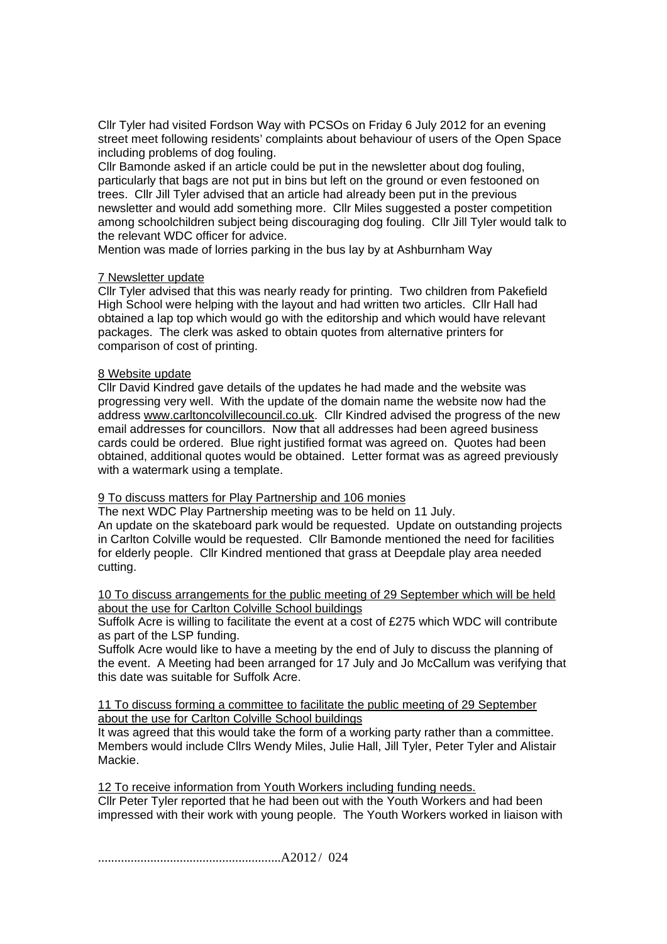Cllr Tyler had visited Fordson Way with PCSOs on Friday 6 July 2012 for an evening street meet following residents' complaints about behaviour of users of the Open Space including problems of dog fouling.

Cllr Bamonde asked if an article could be put in the newsletter about dog fouling, particularly that bags are not put in bins but left on the ground or even festooned on trees. Cllr Jill Tyler advised that an article had already been put in the previous newsletter and would add something more. Cllr Miles suggested a poster competition among schoolchildren subject being discouraging dog fouling. Cllr Jill Tyler would talk to the relevant WDC officer for advice.

Mention was made of lorries parking in the bus lay by at Ashburnham Way

## 7 Newsletter update

Cllr Tyler advised that this was nearly ready for printing. Two children from Pakefield High School were helping with the layout and had written two articles. Cllr Hall had obtained a lap top which would go with the editorship and which would have relevant packages. The clerk was asked to obtain quotes from alternative printers for comparison of cost of printing.

## 8 Website update

Cllr David Kindred gave details of the updates he had made and the website was progressing very well. With the update of the domain name the website now had the address www.carltoncolvillecouncil.co.uk. Cllr Kindred advised the progress of the new email addresses for councillors. Now that all addresses had been agreed business cards could be ordered. Blue right justified format was agreed on. Quotes had been obtained, additional quotes would be obtained. Letter format was as agreed previously with a watermark using a template.

### 9 To discuss matters for Play Partnership and 106 monies

The next WDC Play Partnership meeting was to be held on 11 July. An update on the skateboard park would be requested. Update on outstanding projects in Carlton Colville would be requested. Cllr Bamonde mentioned the need for facilities for elderly people. Cllr Kindred mentioned that grass at Deepdale play area needed cutting.

10 To discuss arrangements for the public meeting of 29 September which will be held about the use for Carlton Colville School buildings

Suffolk Acre is willing to facilitate the event at a cost of £275 which WDC will contribute as part of the LSP funding.

Suffolk Acre would like to have a meeting by the end of July to discuss the planning of the event. A Meeting had been arranged for 17 July and Jo McCallum was verifying that this date was suitable for Suffolk Acre.

11 To discuss forming a committee to facilitate the public meeting of 29 September about the use for Carlton Colville School buildings

It was agreed that this would take the form of a working party rather than a committee. Members would include Cllrs Wendy Miles, Julie Hall, Jill Tyler, Peter Tyler and Alistair Mackie.

12 To receive information from Youth Workers including funding needs. Cllr Peter Tyler reported that he had been out with the Youth Workers and had been impressed with their work with young people. The Youth Workers worked in liaison with

........................................................A2012 / 024